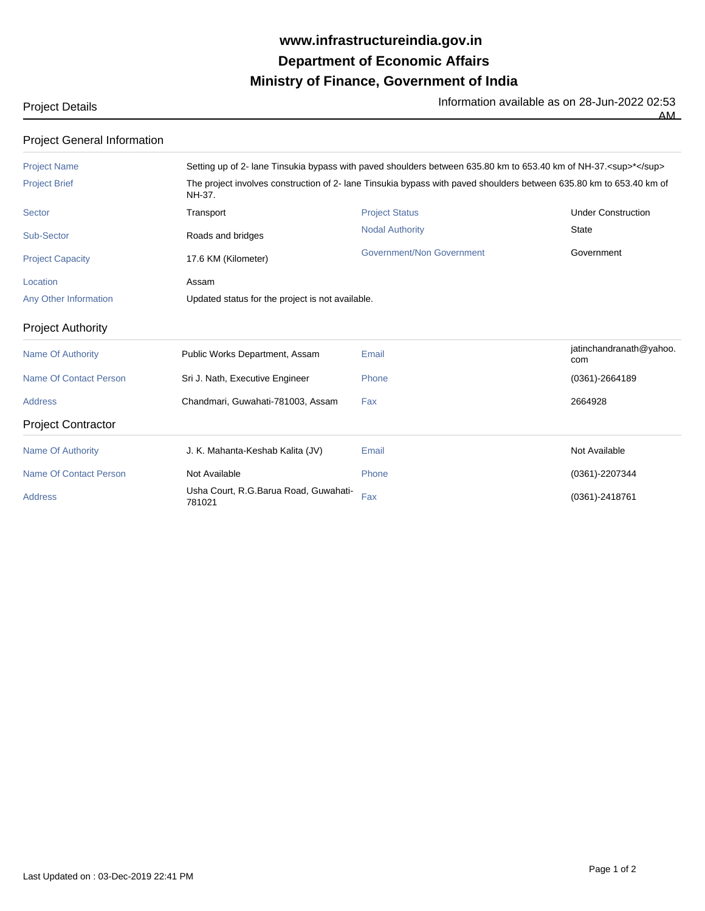## **Ministry of Finance, Government of India Department of Economic Affairs www.infrastructureindia.gov.in**

Project Details **Information available as on 28-Jun-2022 02:53** 

 $\overline{AM}$ 

| <b>Project General Information</b> |                                                                                                                               |                           |                                |  |  |
|------------------------------------|-------------------------------------------------------------------------------------------------------------------------------|---------------------------|--------------------------------|--|--|
| <b>Project Name</b>                | Setting up of 2- lane Tinsukia bypass with paved shoulders between 635.80 km to 653.40 km of NH-37. <sup>*</sup>              |                           |                                |  |  |
| <b>Project Brief</b>               | The project involves construction of 2- lane Tinsukia bypass with paved shoulders between 635.80 km to 653.40 km of<br>NH-37. |                           |                                |  |  |
| <b>Sector</b>                      | Transport                                                                                                                     | <b>Project Status</b>     | <b>Under Construction</b>      |  |  |
| Sub-Sector                         | Roads and bridges                                                                                                             | <b>Nodal Authority</b>    | <b>State</b>                   |  |  |
| <b>Project Capacity</b>            | 17.6 KM (Kilometer)                                                                                                           | Government/Non Government | Government                     |  |  |
| Location                           | Assam                                                                                                                         |                           |                                |  |  |
| Any Other Information              | Updated status for the project is not available.                                                                              |                           |                                |  |  |
| <b>Project Authority</b>           |                                                                                                                               |                           |                                |  |  |
| <b>Name Of Authority</b>           | Public Works Department, Assam                                                                                                | Email                     | jatinchandranath@yahoo.<br>com |  |  |
| Name Of Contact Person             | Sri J. Nath, Executive Engineer                                                                                               | Phone                     | $(0361) - 2664189$             |  |  |
| <b>Address</b>                     | Chandmari, Guwahati-781003, Assam                                                                                             | Fax                       | 2664928                        |  |  |
| <b>Project Contractor</b>          |                                                                                                                               |                           |                                |  |  |
| <b>Name Of Authority</b>           | J. K. Mahanta-Keshab Kalita (JV)                                                                                              | Email                     | Not Available                  |  |  |
| <b>Name Of Contact Person</b>      | Not Available                                                                                                                 | Phone                     | (0361)-2207344                 |  |  |
| <b>Address</b>                     | Usha Court, R.G.Barua Road, Guwahati-<br>781021                                                                               | Fax                       | (0361)-2418761                 |  |  |